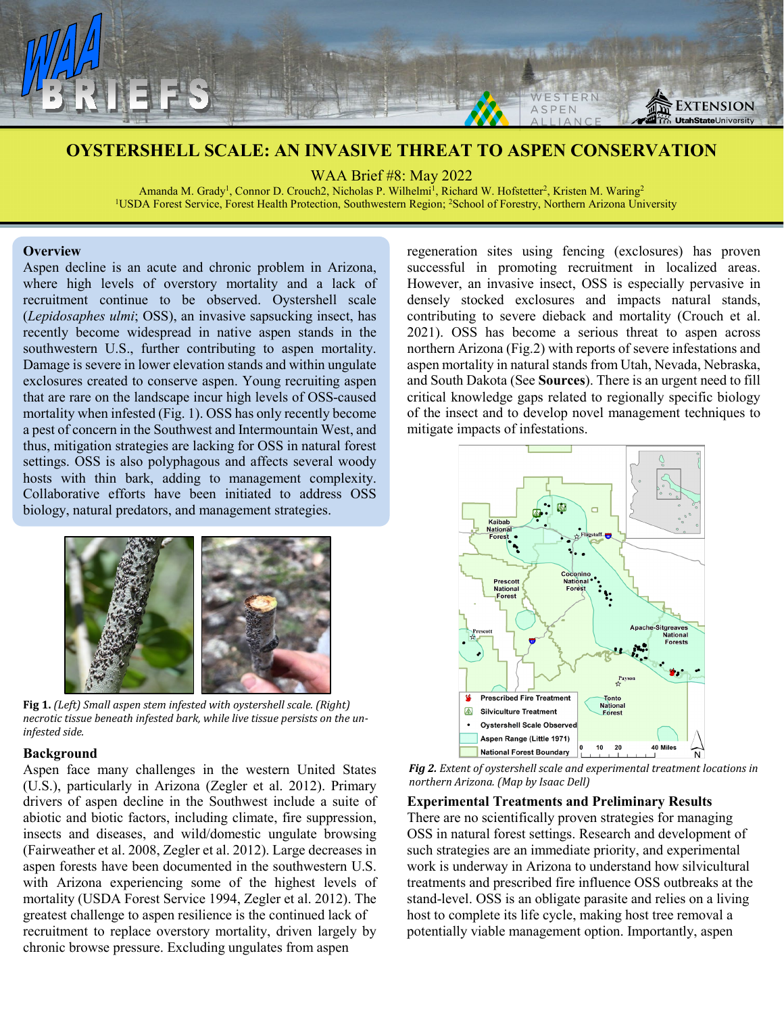

# **OYSTERSHELL SCALE: AN INVASIVE THREAT TO ASPEN CONSERVATION**

WAA Brief #8: May 2022

Amanda M. Grady<sup>1</sup>, Connor D. Crouch2, Nicholas P. Wilhelmi<sup>1</sup>, Richard W. Hofstetter<sup>2</sup>, Kristen M. Waring<sup>2</sup> <sup>1</sup>USDA Forest Service, Forest Health Protection, Southwestern Region; <sup>2</sup>School of Forestry, Northern Arizona University

# **Overview**

Aspen decline is an acute and chronic problem in Arizona, where high levels of overstory mortality and a lack of recruitment continue to be observed. Oystershell scale (*Lepidosaphes ulmi*; OSS), an invasive sapsucking insect, has recently become widespread in native aspen stands in the southwestern U.S., further contributing to aspen mortality. Damage is severe in lower elevation stands and within ungulate exclosures created to conserve aspen. Young recruiting aspen that are rare on the landscape incur high levels of OSS-caused mortality when infested (Fig. 1). OSS has only recently become a pest of concern in the Southwest and Intermountain West, and thus, mitigation strategies are lacking for OSS in natural forest settings. OSS is also polyphagous and affects several woody hosts with thin bark, adding to management complexity. Collaborative efforts have been initiated to address OSS biology, natural predators, and management strategies.



**Fig 1.** *(Left) Small aspen stem infested with oystershell scale. (Right) necrotic tissue beneath infested bark, while live tissue persists on the uninfested side.*

# **Background**

Aspen face many challenges in the western United States (U.S.), particularly in Arizona (Zegler et al. 2012). Primary drivers of aspen decline in the Southwest include a suite of abiotic and biotic factors, including climate, fire suppression, insects and diseases, and wild/domestic ungulate browsing (Fairweather et al. 2008, Zegler et al. 2012). Large decreases in aspen forests have been documented in the southwestern U.S. with Arizona experiencing some of the highest levels of mortality (USDA Forest Service 1994, Zegler et al. 2012). The greatest challenge to aspen resilience is the continued lack of recruitment to replace overstory mortality, driven largely by chronic browse pressure. Excluding ungulates from aspen

regeneration sites using fencing (exclosures) has proven successful in promoting recruitment in localized areas. However, an invasive insect, OSS is especially pervasive in densely stocked exclosures and impacts natural stands, contributing to severe dieback and mortality (Crouch et al. 2021). OSS has become a serious threat to aspen across northern Arizona (Fig.2) with reports of severe infestations and aspen mortality in natural stands from Utah, Nevada, Nebraska, and South Dakota (See **Sources**). There is an urgent need to fill critical knowledge gaps related to regionally specific biology of the insect and to develop novel management techniques to mitigate impacts of infestations.



*Fig 2. Extent of oystershell scale and experimental treatment locations in northern Arizona. (Map by Isaac Dell)*

**Experimental Treatments and Preliminary Results** There are no scientifically proven strategies for managing OSS in natural forest settings. Research and development of such strategies are an immediate priority, and experimental work is underway in Arizona to understand how silvicultural treatments and prescribed fire influence OSS outbreaks at the stand-level. OSS is an obligate parasite and relies on a living host to complete its life cycle, making host tree removal a potentially viable management option. Importantly, aspen